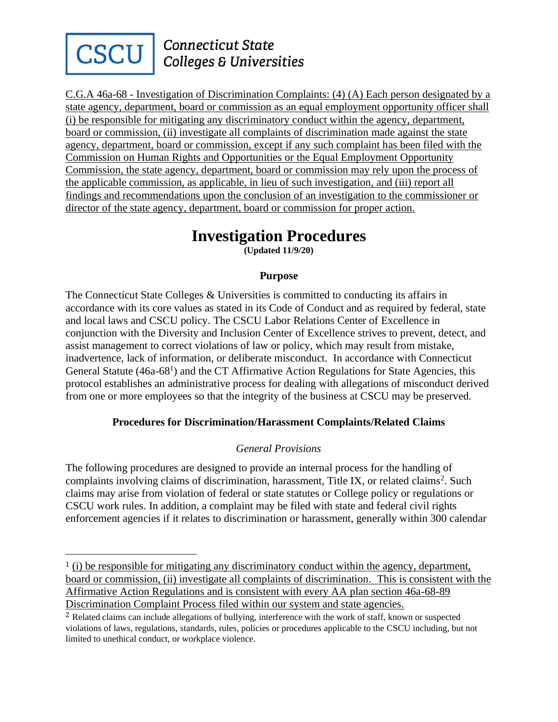

## **Connecticut State Colleges & Universities**

C.G.A 46a-68 - Investigation of Discrimination Complaints: (4) (A) Each person designated by a state agency, department, board or commission as an equal employment opportunity officer shall (i) be responsible for mitigating any discriminatory conduct within the agency, department, board or commission, (ii) investigate all complaints of discrimination made against the state agency, department, board or commission, except if any such complaint has been filed with the Commission on Human Rights and Opportunities or the Equal Employment Opportunity Commission, the state agency, department, board or commission may rely upon the process of the applicable commission, as applicable, in lieu of such investigation, and (iii) report all findings and recommendations upon the conclusion of an investigation to the commissioner or director of the state agency, department, board or commission for proper action.

# **Investigation Procedures**

**(Updated 11/9/20)**

#### **Purpose**

The Connecticut State Colleges & Universities is committed to conducting its affairs in accordance with its core values as stated in its Code of Conduct and as required by federal, state and local laws and CSCU policy. The CSCU Labor Relations Center of Excellence in conjunction with the Diversity and Inclusion Center of Excellence strives to prevent, detect, and assist management to correct violations of law or policy, which may result from mistake, inadvertence, lack of information, or deliberate misconduct. In accordance with Connecticut General Statute (46a-68<sup>1</sup>) and the CT Affirmative Action Regulations for State Agencies, this protocol establishes an administrative process for dealing with allegations of misconduct derived from one or more employees so that the integrity of the business at CSCU may be preserved.

#### **Procedures for Discrimination/Harassment Complaints/Related Claims**

### *General Provisions*

The following procedures are designed to provide an internal process for the handling of complaints involving claims of discrimination, harassment, Title IX, or related claims<sup>2</sup>. Such claims may arise from violation of federal or state statutes or College policy or regulations or CSCU work rules. In addition, a complaint may be filed with state and federal civil rights enforcement agencies if it relates to discrimination or harassment, generally within 300 calendar

<sup>1</sup> (i) be responsible for mitigating any discriminatory conduct within the agency, department, board or commission, (ii) investigate all complaints of discrimination. This is consistent with the Affirmative Action Regulations and is consistent with every AA plan section 46a-68-89 Discrimination Complaint Process filed within our system and state agencies.

<sup>2</sup> Related claims can include allegations of bullying, interference with the work of staff, known or suspected violations of laws, regulations, standards, rules, policies or procedures applicable to the CSCU including, but not limited to unethical conduct, or workplace violence.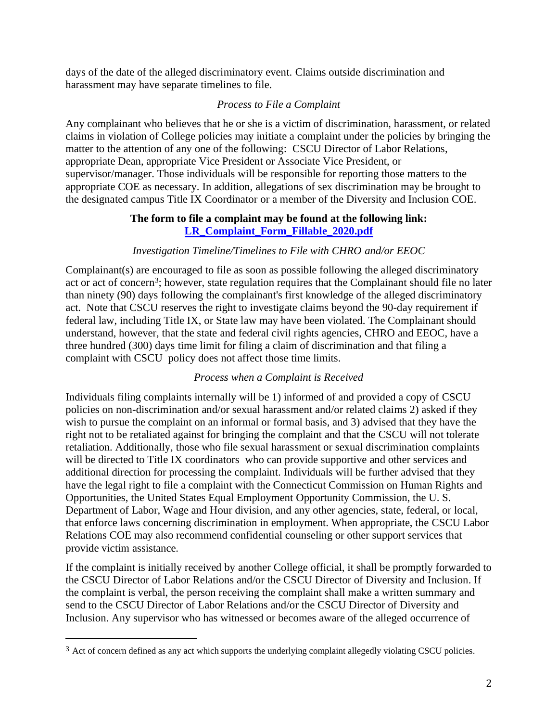days of the date of the alleged discriminatory event. Claims outside discrimination and harassment may have separate timelines to file.

#### *Process to File a Complaint*

Any complainant who believes that he or she is a victim of discrimination, harassment, or related claims in violation of College policies may initiate a complaint under the policies by bringing the matter to the attention of any one of the following: CSCU Director of Labor Relations, appropriate Dean, appropriate Vice President or Associate Vice President, or supervisor/manager. Those individuals will be responsible for reporting those matters to the appropriate COE as necessary. In addition, allegations of sex discrimination may be brought to the designated campus Title IX Coordinator or a member of the Diversity and Inclusion COE.

#### **The form to file a complaint may be found at the following link: [LR\\_Complaint\\_Form\\_Fillable\\_2020.pdf](/Volumes/CSCU/CSCU/Complaint%20Procedures/LR_Complaint_Form_Fillable_2020.pdf)**

#### *Investigation Timeline/Timelines to File with CHRO and/or EEOC*

Complainant(s) are encouraged to file as soon as possible following the alleged discriminatory act or act of concern<sup>3</sup>; however, state regulation requires that the Complainant should file no later than ninety (90) days following the complainant's first knowledge of the alleged discriminatory act. Note that CSCU reserves the right to investigate claims beyond the 90-day requirement if federal law, including Title IX, or State law may have been violated. The Complainant should understand, however, that the state and federal civil rights agencies, CHRO and EEOC, have a three hundred (300) days time limit for filing a claim of discrimination and that filing a complaint with CSCU policy does not affect those time limits.

#### *Process when a Complaint is Received*

Individuals filing complaints internally will be 1) informed of and provided a copy of CSCU policies on non-discrimination and/or sexual harassment and/or related claims 2) asked if they wish to pursue the complaint on an informal or formal basis, and 3) advised that they have the right not to be retaliated against for bringing the complaint and that the CSCU will not tolerate retaliation. Additionally, those who file sexual harassment or sexual discrimination complaints will be directed to Title IX coordinators who can provide supportive and other services and additional direction for processing the complaint. Individuals will be further advised that they have the legal right to file a complaint with the Connecticut Commission on Human Rights and Opportunities, the United States Equal Employment Opportunity Commission, the U. S. Department of Labor, Wage and Hour division, and any other agencies, state, federal, or local, that enforce laws concerning discrimination in employment. When appropriate, the CSCU Labor Relations COE may also recommend confidential counseling or other support services that provide victim assistance.

If the complaint is initially received by another College official, it shall be promptly forwarded to the CSCU Director of Labor Relations and/or the CSCU Director of Diversity and Inclusion. If the complaint is verbal, the person receiving the complaint shall make a written summary and send to the CSCU Director of Labor Relations and/or the CSCU Director of Diversity and Inclusion. Any supervisor who has witnessed or becomes aware of the alleged occurrence of

<sup>3</sup> Act of concern defined as any act which supports the underlying complaint allegedly violating CSCU policies.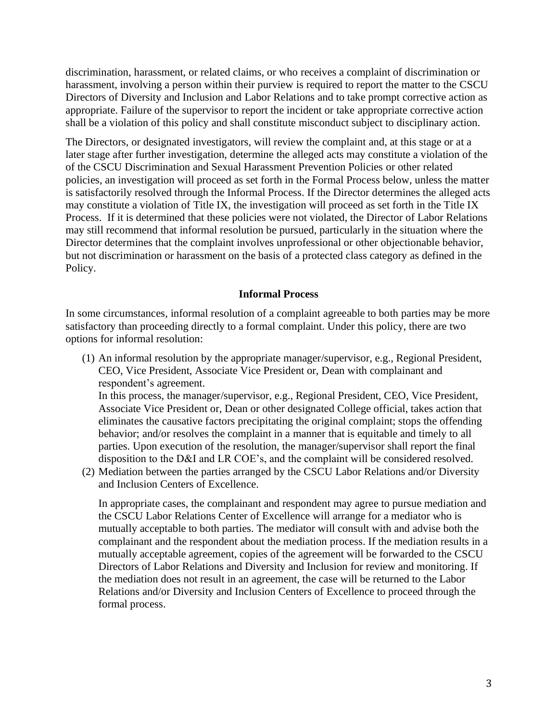discrimination, harassment, or related claims, or who receives a complaint of discrimination or harassment, involving a person within their purview is required to report the matter to the CSCU Directors of Diversity and Inclusion and Labor Relations and to take prompt corrective action as appropriate. Failure of the supervisor to report the incident or take appropriate corrective action shall be a violation of this policy and shall constitute misconduct subject to disciplinary action.

The Directors, or designated investigators, will review the complaint and, at this stage or at a later stage after further investigation, determine the alleged acts may constitute a violation of the of the CSCU Discrimination and Sexual Harassment Prevention Policies or other related policies, an investigation will proceed as set forth in the Formal Process below, unless the matter is satisfactorily resolved through the Informal Process. If the Director determines the alleged acts may constitute a violation of Title IX, the investigation will proceed as set forth in the Title IX Process. If it is determined that these policies were not violated, the Director of Labor Relations may still recommend that informal resolution be pursued, particularly in the situation where the Director determines that the complaint involves unprofessional or other objectionable behavior, but not discrimination or harassment on the basis of a protected class category as defined in the Policy.

#### **Informal Process**

In some circumstances, informal resolution of a complaint agreeable to both parties may be more satisfactory than proceeding directly to a formal complaint. Under this policy, there are two options for informal resolution:

(1) An informal resolution by the appropriate manager/supervisor, e.g., Regional President, CEO, Vice President, Associate Vice President or, Dean with complainant and respondent's agreement.

In this process, the manager/supervisor, e.g., Regional President, CEO, Vice President, Associate Vice President or, Dean or other designated College official, takes action that eliminates the causative factors precipitating the original complaint; stops the offending behavior; and/or resolves the complaint in a manner that is equitable and timely to all parties. Upon execution of the resolution, the manager/supervisor shall report the final disposition to the D&I and LR COE's, and the complaint will be considered resolved.

(2) Mediation between the parties arranged by the CSCU Labor Relations and/or Diversity and Inclusion Centers of Excellence.

In appropriate cases, the complainant and respondent may agree to pursue mediation and the CSCU Labor Relations Center of Excellence will arrange for a mediator who is mutually acceptable to both parties. The mediator will consult with and advise both the complainant and the respondent about the mediation process. If the mediation results in a mutually acceptable agreement, copies of the agreement will be forwarded to the CSCU Directors of Labor Relations and Diversity and Inclusion for review and monitoring. If the mediation does not result in an agreement, the case will be returned to the Labor Relations and/or Diversity and Inclusion Centers of Excellence to proceed through the formal process.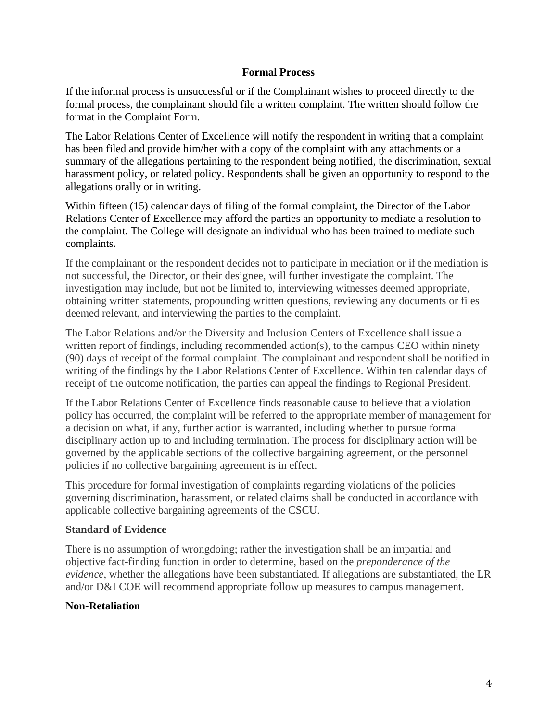#### **Formal Process**

If the informal process is unsuccessful or if the Complainant wishes to proceed directly to the formal process, the complainant should file a written complaint. The written should follow the format in the Complaint Form.

The Labor Relations Center of Excellence will notify the respondent in writing that a complaint has been filed and provide him/her with a copy of the complaint with any attachments or a summary of the allegations pertaining to the respondent being notified, the discrimination, sexual harassment policy, or related policy. Respondents shall be given an opportunity to respond to the allegations orally or in writing.

Within fifteen (15) calendar days of filing of the formal complaint, the Director of the Labor Relations Center of Excellence may afford the parties an opportunity to mediate a resolution to the complaint. The College will designate an individual who has been trained to mediate such complaints.

If the complainant or the respondent decides not to participate in mediation or if the mediation is not successful, the Director, or their designee, will further investigate the complaint. The investigation may include, but not be limited to, interviewing witnesses deemed appropriate, obtaining written statements, propounding written questions, reviewing any documents or files deemed relevant, and interviewing the parties to the complaint.

The Labor Relations and/or the Diversity and Inclusion Centers of Excellence shall issue a written report of findings, including recommended action(s), to the campus CEO within ninety (90) days of receipt of the formal complaint. The complainant and respondent shall be notified in writing of the findings by the Labor Relations Center of Excellence. Within ten calendar days of receipt of the outcome notification, the parties can appeal the findings to Regional President.

If the Labor Relations Center of Excellence finds reasonable cause to believe that a violation policy has occurred, the complaint will be referred to the appropriate member of management for a decision on what, if any, further action is warranted, including whether to pursue formal disciplinary action up to and including termination. The process for disciplinary action will be governed by the applicable sections of the collective bargaining agreement, or the personnel policies if no collective bargaining agreement is in effect.

This procedure for formal investigation of complaints regarding violations of the policies governing discrimination, harassment, or related claims shall be conducted in accordance with applicable collective bargaining agreements of the CSCU.

#### **Standard of Evidence**

There is no assumption of wrongdoing; rather the investigation shall be an impartial and objective fact-finding function in order to determine, based on the *preponderance of the evidence*, whether the allegations have been substantiated. If allegations are substantiated, the LR and/or D&I COE will recommend appropriate follow up measures to campus management.

#### **Non-Retaliation**